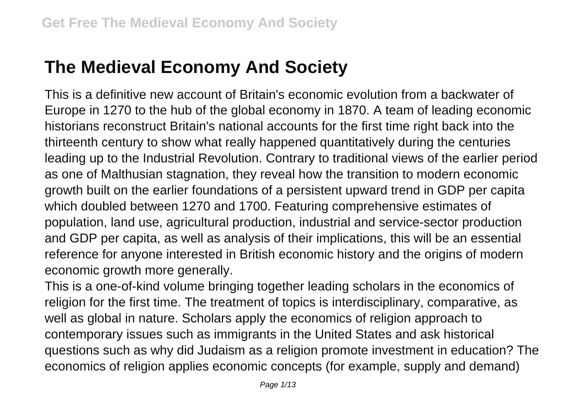## **The Medieval Economy And Society**

This is a definitive new account of Britain's economic evolution from a backwater of Europe in 1270 to the hub of the global economy in 1870. A team of leading economic historians reconstruct Britain's national accounts for the first time right back into the thirteenth century to show what really happened quantitatively during the centuries leading up to the Industrial Revolution. Contrary to traditional views of the earlier period as one of Malthusian stagnation, they reveal how the transition to modern economic growth built on the earlier foundations of a persistent upward trend in GDP per capita which doubled between 1270 and 1700. Featuring comprehensive estimates of population, land use, agricultural production, industrial and service-sector production and GDP per capita, as well as analysis of their implications, this will be an essential reference for anyone interested in British economic history and the origins of modern economic growth more generally.

This is a one-of-kind volume bringing together leading scholars in the economics of religion for the first time. The treatment of topics is interdisciplinary, comparative, as well as global in nature. Scholars apply the economics of religion approach to contemporary issues such as immigrants in the United States and ask historical questions such as why did Judaism as a religion promote investment in education? The economics of religion applies economic concepts (for example, supply and demand)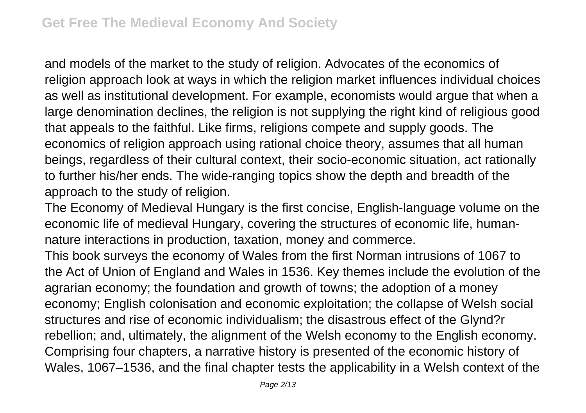and models of the market to the study of religion. Advocates of the economics of religion approach look at ways in which the religion market influences individual choices as well as institutional development. For example, economists would argue that when a large denomination declines, the religion is not supplying the right kind of religious good that appeals to the faithful. Like firms, religions compete and supply goods. The economics of religion approach using rational choice theory, assumes that all human beings, regardless of their cultural context, their socio-economic situation, act rationally to further his/her ends. The wide-ranging topics show the depth and breadth of the approach to the study of religion.

The Economy of Medieval Hungary is the first concise, English-language volume on the economic life of medieval Hungary, covering the structures of economic life, humannature interactions in production, taxation, money and commerce.

This book surveys the economy of Wales from the first Norman intrusions of 1067 to the Act of Union of England and Wales in 1536. Key themes include the evolution of the agrarian economy; the foundation and growth of towns; the adoption of a money economy; English colonisation and economic exploitation; the collapse of Welsh social structures and rise of economic individualism; the disastrous effect of the Glynd?r rebellion; and, ultimately, the alignment of the Welsh economy to the English economy. Comprising four chapters, a narrative history is presented of the economic history of Wales, 1067–1536, and the final chapter tests the applicability in a Welsh context of the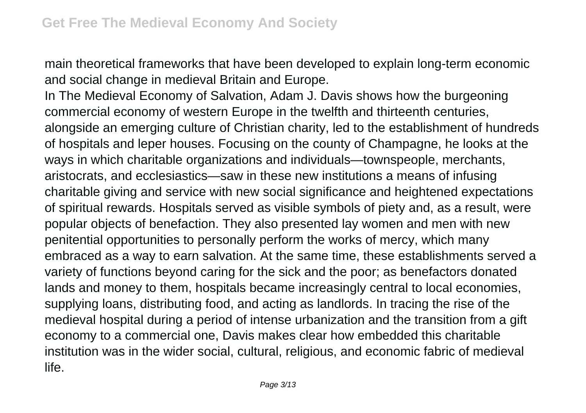main theoretical frameworks that have been developed to explain long-term economic and social change in medieval Britain and Europe.

In The Medieval Economy of Salvation, Adam J. Davis shows how the burgeoning commercial economy of western Europe in the twelfth and thirteenth centuries, alongside an emerging culture of Christian charity, led to the establishment of hundreds of hospitals and leper houses. Focusing on the county of Champagne, he looks at the ways in which charitable organizations and individuals—townspeople, merchants, aristocrats, and ecclesiastics—saw in these new institutions a means of infusing charitable giving and service with new social significance and heightened expectations of spiritual rewards. Hospitals served as visible symbols of piety and, as a result, were popular objects of benefaction. They also presented lay women and men with new penitential opportunities to personally perform the works of mercy, which many embraced as a way to earn salvation. At the same time, these establishments served a variety of functions beyond caring for the sick and the poor; as benefactors donated lands and money to them, hospitals became increasingly central to local economies, supplying loans, distributing food, and acting as landlords. In tracing the rise of the medieval hospital during a period of intense urbanization and the transition from a gift economy to a commercial one, Davis makes clear how embedded this charitable institution was in the wider social, cultural, religious, and economic fabric of medieval life.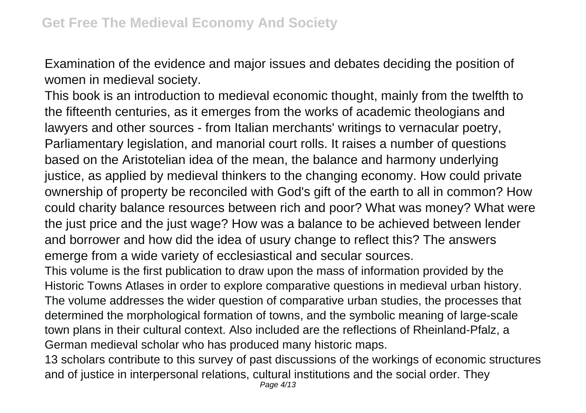Examination of the evidence and major issues and debates deciding the position of women in medieval society.

This book is an introduction to medieval economic thought, mainly from the twelfth to the fifteenth centuries, as it emerges from the works of academic theologians and lawyers and other sources - from Italian merchants' writings to vernacular poetry, Parliamentary legislation, and manorial court rolls. It raises a number of questions based on the Aristotelian idea of the mean, the balance and harmony underlying justice, as applied by medieval thinkers to the changing economy. How could private ownership of property be reconciled with God's gift of the earth to all in common? How could charity balance resources between rich and poor? What was money? What were the just price and the just wage? How was a balance to be achieved between lender and borrower and how did the idea of usury change to reflect this? The answers emerge from a wide variety of ecclesiastical and secular sources.

This volume is the first publication to draw upon the mass of information provided by the Historic Towns Atlases in order to explore comparative questions in medieval urban history. The volume addresses the wider question of comparative urban studies, the processes that determined the morphological formation of towns, and the symbolic meaning of large-scale town plans in their cultural context. Also included are the reflections of Rheinland-Pfalz, a German medieval scholar who has produced many historic maps.

13 scholars contribute to this survey of past discussions of the workings of economic structures and of justice in interpersonal relations, cultural institutions and the social order. They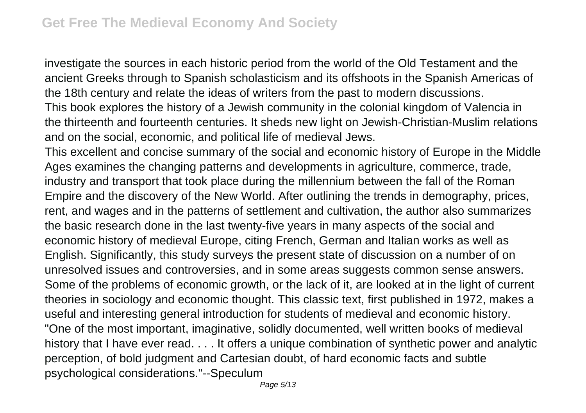investigate the sources in each historic period from the world of the Old Testament and the ancient Greeks through to Spanish scholasticism and its offshoots in the Spanish Americas of the 18th century and relate the ideas of writers from the past to modern discussions. This book explores the history of a Jewish community in the colonial kingdom of Valencia in the thirteenth and fourteenth centuries. It sheds new light on Jewish-Christian-Muslim relations and on the social, economic, and political life of medieval Jews.

This excellent and concise summary of the social and economic history of Europe in the Middle Ages examines the changing patterns and developments in agriculture, commerce, trade, industry and transport that took place during the millennium between the fall of the Roman Empire and the discovery of the New World. After outlining the trends in demography, prices, rent, and wages and in the patterns of settlement and cultivation, the author also summarizes the basic research done in the last twenty-five years in many aspects of the social and economic history of medieval Europe, citing French, German and Italian works as well as English. Significantly, this study surveys the present state of discussion on a number of on unresolved issues and controversies, and in some areas suggests common sense answers. Some of the problems of economic growth, or the lack of it, are looked at in the light of current theories in sociology and economic thought. This classic text, first published in 1972, makes a useful and interesting general introduction for students of medieval and economic history. "One of the most important, imaginative, solidly documented, well written books of medieval history that I have ever read. . . . It offers a unique combination of synthetic power and analytic perception, of bold judgment and Cartesian doubt, of hard economic facts and subtle psychological considerations."--Speculum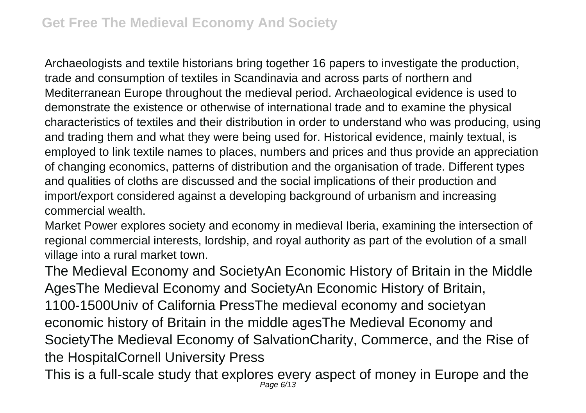Archaeologists and textile historians bring together 16 papers to investigate the production, trade and consumption of textiles in Scandinavia and across parts of northern and Mediterranean Europe throughout the medieval period. Archaeological evidence is used to demonstrate the existence or otherwise of international trade and to examine the physical characteristics of textiles and their distribution in order to understand who was producing, using and trading them and what they were being used for. Historical evidence, mainly textual, is employed to link textile names to places, numbers and prices and thus provide an appreciation of changing economics, patterns of distribution and the organisation of trade. Different types and qualities of cloths are discussed and the social implications of their production and import/export considered against a developing background of urbanism and increasing commercial wealth.

Market Power explores society and economy in medieval Iberia, examining the intersection of regional commercial interests, lordship, and royal authority as part of the evolution of a small village into a rural market town.

The Medieval Economy and SocietyAn Economic History of Britain in the Middle AgesThe Medieval Economy and SocietyAn Economic History of Britain, 1100-1500Univ of California PressThe medieval economy and societyan economic history of Britain in the middle agesThe Medieval Economy and SocietyThe Medieval Economy of SalvationCharity, Commerce, and the Rise of the HospitalCornell University Press

This is a full-scale study that explores every aspect of money in Europe and the Page 6/13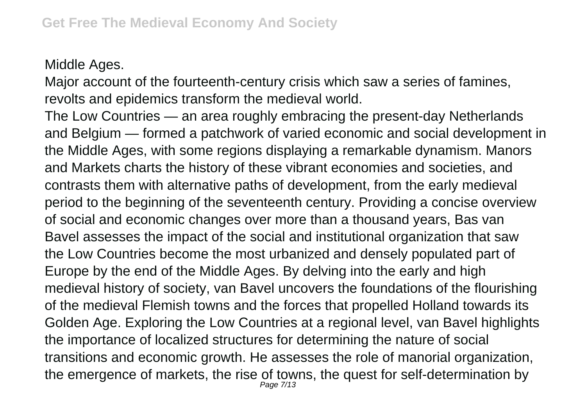Middle Ages.

Major account of the fourteenth-century crisis which saw a series of famines, revolts and epidemics transform the medieval world.

The Low Countries — an area roughly embracing the present-day Netherlands and Belgium — formed a patchwork of varied economic and social development in the Middle Ages, with some regions displaying a remarkable dynamism. Manors and Markets charts the history of these vibrant economies and societies, and contrasts them with alternative paths of development, from the early medieval period to the beginning of the seventeenth century. Providing a concise overview of social and economic changes over more than a thousand years, Bas van Bavel assesses the impact of the social and institutional organization that saw the Low Countries become the most urbanized and densely populated part of Europe by the end of the Middle Ages. By delving into the early and high medieval history of society, van Bavel uncovers the foundations of the flourishing of the medieval Flemish towns and the forces that propelled Holland towards its Golden Age. Exploring the Low Countries at a regional level, van Bavel highlights the importance of localized structures for determining the nature of social transitions and economic growth. He assesses the role of manorial organization, the emergence of markets, the rise of towns, the quest for self-determination by Page 7/13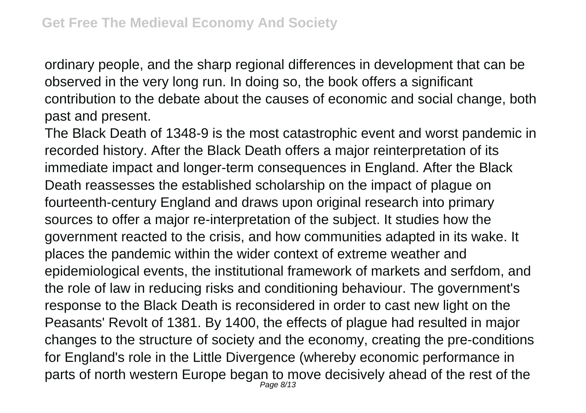ordinary people, and the sharp regional differences in development that can be observed in the very long run. In doing so, the book offers a significant contribution to the debate about the causes of economic and social change, both past and present.

The Black Death of 1348-9 is the most catastrophic event and worst pandemic in recorded history. After the Black Death offers a major reinterpretation of its immediate impact and longer-term consequences in England. After the Black Death reassesses the established scholarship on the impact of plague on fourteenth-century England and draws upon original research into primary sources to offer a major re-interpretation of the subject. It studies how the government reacted to the crisis, and how communities adapted in its wake. It places the pandemic within the wider context of extreme weather and epidemiological events, the institutional framework of markets and serfdom, and the role of law in reducing risks and conditioning behaviour. The government's response to the Black Death is reconsidered in order to cast new light on the Peasants' Revolt of 1381. By 1400, the effects of plague had resulted in major changes to the structure of society and the economy, creating the pre-conditions for England's role in the Little Divergence (whereby economic performance in parts of north western Europe began to move decisively ahead of the rest of the Page 8/13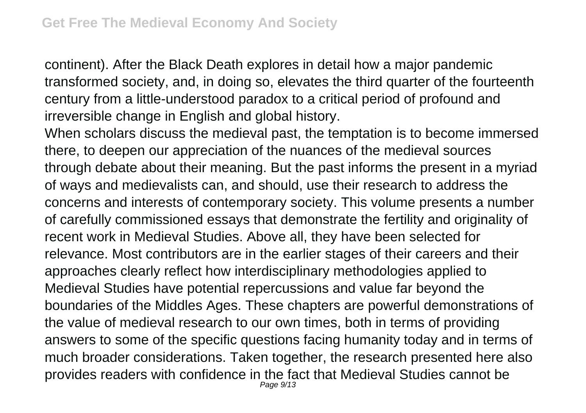continent). After the Black Death explores in detail how a major pandemic transformed society, and, in doing so, elevates the third quarter of the fourteenth century from a little-understood paradox to a critical period of profound and irreversible change in English and global history.

When scholars discuss the medieval past, the temptation is to become immersed there, to deepen our appreciation of the nuances of the medieval sources through debate about their meaning. But the past informs the present in a myriad of ways and medievalists can, and should, use their research to address the concerns and interests of contemporary society. This volume presents a number of carefully commissioned essays that demonstrate the fertility and originality of recent work in Medieval Studies. Above all, they have been selected for relevance. Most contributors are in the earlier stages of their careers and their approaches clearly reflect how interdisciplinary methodologies applied to Medieval Studies have potential repercussions and value far beyond the boundaries of the Middles Ages. These chapters are powerful demonstrations of the value of medieval research to our own times, both in terms of providing answers to some of the specific questions facing humanity today and in terms of much broader considerations. Taken together, the research presented here also provides readers with confidence in the fact that Medieval Studies cannot be Page 9/13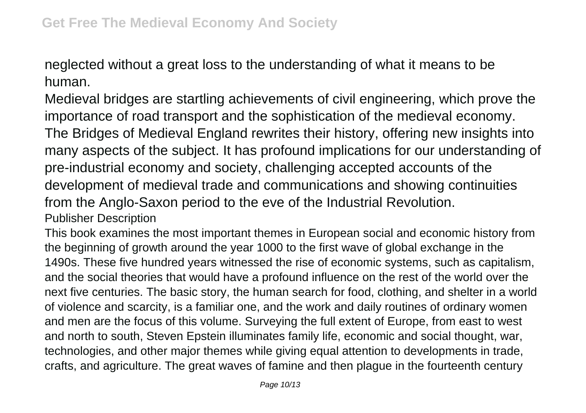neglected without a great loss to the understanding of what it means to be human.

Medieval bridges are startling achievements of civil engineering, which prove the importance of road transport and the sophistication of the medieval economy. The Bridges of Medieval England rewrites their history, offering new insights into many aspects of the subject. It has profound implications for our understanding of pre-industrial economy and society, challenging accepted accounts of the development of medieval trade and communications and showing continuities from the Anglo-Saxon period to the eve of the Industrial Revolution. Publisher Description

This book examines the most important themes in European social and economic history from the beginning of growth around the year 1000 to the first wave of global exchange in the 1490s. These five hundred years witnessed the rise of economic systems, such as capitalism, and the social theories that would have a profound influence on the rest of the world over the next five centuries. The basic story, the human search for food, clothing, and shelter in a world of violence and scarcity, is a familiar one, and the work and daily routines of ordinary women and men are the focus of this volume. Surveying the full extent of Europe, from east to west and north to south, Steven Epstein illuminates family life, economic and social thought, war, technologies, and other major themes while giving equal attention to developments in trade, crafts, and agriculture. The great waves of famine and then plague in the fourteenth century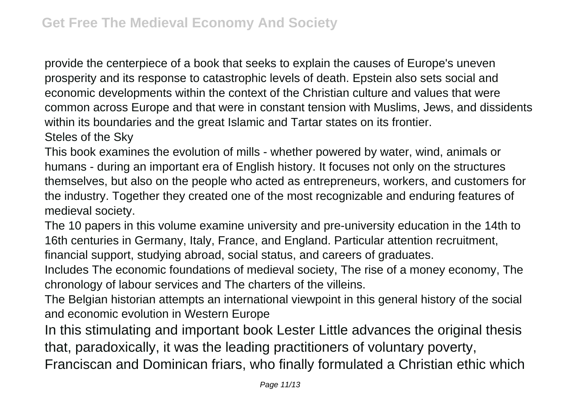provide the centerpiece of a book that seeks to explain the causes of Europe's uneven prosperity and its response to catastrophic levels of death. Epstein also sets social and economic developments within the context of the Christian culture and values that were common across Europe and that were in constant tension with Muslims, Jews, and dissidents within its boundaries and the great Islamic and Tartar states on its frontier. Steles of the Sky

This book examines the evolution of mills - whether powered by water, wind, animals or humans - during an important era of English history. It focuses not only on the structures themselves, but also on the people who acted as entrepreneurs, workers, and customers for the industry. Together they created one of the most recognizable and enduring features of medieval society.

The 10 papers in this volume examine university and pre-university education in the 14th to 16th centuries in Germany, Italy, France, and England. Particular attention recruitment,

financial support, studying abroad, social status, and careers of graduates.

Includes The economic foundations of medieval society, The rise of a money economy, The chronology of labour services and The charters of the villeins.

The Belgian historian attempts an international viewpoint in this general history of the social and economic evolution in Western Europe

In this stimulating and important book Lester Little advances the original thesis that, paradoxically, it was the leading practitioners of voluntary poverty,

Franciscan and Dominican friars, who finally formulated a Christian ethic which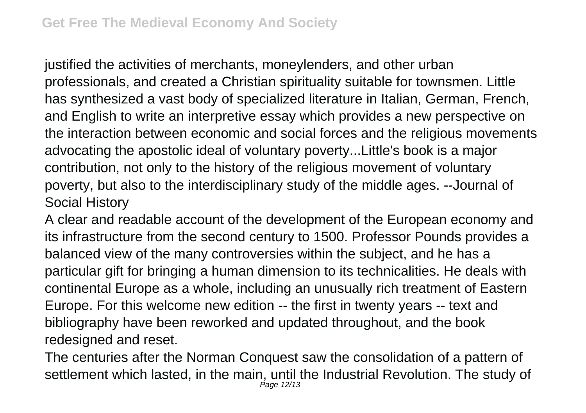justified the activities of merchants, moneylenders, and other urban professionals, and created a Christian spirituality suitable for townsmen. Little has synthesized a vast body of specialized literature in Italian, German, French, and English to write an interpretive essay which provides a new perspective on the interaction between economic and social forces and the religious movements advocating the apostolic ideal of voluntary poverty...Little's book is a major contribution, not only to the history of the religious movement of voluntary poverty, but also to the interdisciplinary study of the middle ages. --Journal of Social History

A clear and readable account of the development of the European economy and its infrastructure from the second century to 1500. Professor Pounds provides a balanced view of the many controversies within the subject, and he has a particular gift for bringing a human dimension to its technicalities. He deals with continental Europe as a whole, including an unusually rich treatment of Eastern Europe. For this welcome new edition -- the first in twenty years -- text and bibliography have been reworked and updated throughout, and the book redesigned and reset.

The centuries after the Norman Conquest saw the consolidation of a pattern of settlement which lasted, in the main, until the Industrial Revolution. The study of Page 12/13